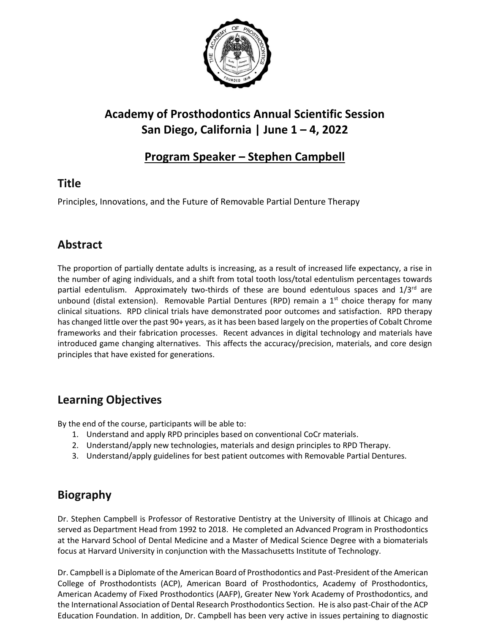

# **Academy of Prosthodontics Annual Scientific Session San Diego, California | June 1 – 4, 2022**

### **Program Speaker – Stephen Campbell**

### **Title**

Principles, Innovations, and the Future of Removable Partial Denture Therapy

### **Abstract**

The proportion of partially dentate adults is increasing, as a result of increased life expectancy, a rise in the number of aging individuals, and a shift from total tooth loss/total edentulism percentages towards partial edentulism. Approximately two-thirds of these are bound edentulous spaces and 1/3<sup>rd</sup> are unbound (distal extension). Removable Partial Dentures (RPD) remain a  $1<sup>st</sup>$  choice therapy for many clinical situations. RPD clinical trials have demonstrated poor outcomes and satisfaction. RPD therapy has changed little over the past 90+ years, as it has been based largely on the properties of Cobalt Chrome frameworks and their fabrication processes. Recent advances in digital technology and materials have introduced game changing alternatives. This affects the accuracy/precision, materials, and core design principles that have existed for generations.

## **Learning Objectives**

By the end of the course, participants will be able to:

- 1. Understand and apply RPD principles based on conventional CoCr materials.
- 2. Understand/apply new technologies, materials and design principles to RPD Therapy.
- 3. Understand/apply guidelines for best patient outcomes with Removable Partial Dentures.

#### **Biography**

Dr. Stephen Campbell is Professor of Restorative Dentistry at the University of Illinois at Chicago and served as Department Head from 1992 to 2018. He completed an Advanced Program in Prosthodontics at the Harvard School of Dental Medicine and a Master of Medical Science Degree with a biomaterials focus at Harvard University in conjunction with the Massachusetts Institute of Technology.

Dr. Campbell is a Diplomate of the American Board of Prosthodontics and Past-President of the American College of Prosthodontists (ACP), American Board of Prosthodontics, Academy of Prosthodontics, American Academy of Fixed Prosthodontics (AAFP), Greater New York Academy of Prosthodontics, and the International Association of Dental Research Prosthodontics Section. He is also past-Chair of the ACP Education Foundation. In addition, Dr. Campbell has been very active in issues pertaining to diagnostic